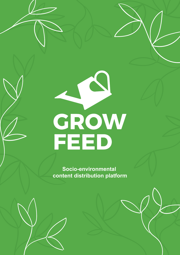# CROW

**Socio-environmental content distribution platform**

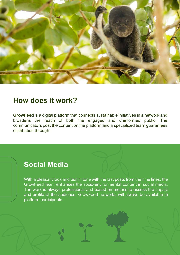

### **How does it work?**

**GrowFeed** is a digital platform that connects sustainable initiatives in a network and broadens the reach of both the engaged and uninformed public. The communicators post the content on the platform and a specialized team guarantees distribution through:

## **Social Media**

With a pleasant look and text in tune with the last posts from the time lines, the GrowFeed team enhances the socio-environmental content in social media. The work is always professional and based on metrics to assess the impact and profile of the audience. GrowFeed networks will always be available to platform participants.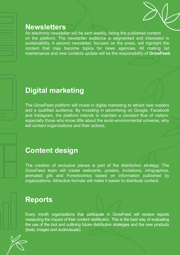### **Newsletters**

An electronic newsletter will be sent weekly, listing the published content on the platform. The newsletter audience is segmented and interested in sustainability. A second newsletter, focused on the press, will highlight the content that may become topics for news agencies. All mailing list maintenance and new contacts update will be the responsibility of **GrowFeed**.

### **Digital marketing**

The GrowFeed platform will invest in digital marketing to attract new readers and a qualified audience. By investing in advertising on Google, Facebook and Instagram, the platform intends to maintain a constant flow of visitors, especially those who know little about the socio-environmental universe, who will contact organizations and their actions.

### **Content design**

The creation of exclusive pieces is part of the distribution strategy. The GrowFeed team will create webcards, posters, invitations, infographics, animated gifs and Forestcomics based on information published by organizations. Attractive formats will make it easier to distribute content.

### **Reports**

Every month organizations that participate in GrowFeed will receive reports measuring the impact of their content distribution. This is the best way of evaluating the use of the tool and outlining future distribution strategies and the new products (texts, images and audiovisuals).

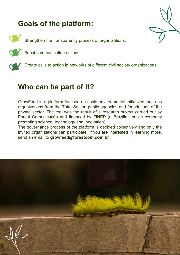# **Goals of the platform:**

Strengthen the transparency process of organizations;

Boost communication actions;



Create calls to action in networks of different civil society organizations.

# **Who can be part of it?**

GrowFeed is a platform focused on socio-environmental initiatives, such as organizations from the Third Sector, public agencies and foundations of the private sector. The tool was the result of a research project carried out by Forest Comunicação and financed by FINEP (a Brazilian public company promoting science, technology and innovation).

The governance process of the platform is decided collectively and only the invited organizations can participate. If you are interested in learning more, send an email to **growfeed@forestcom.com.br**

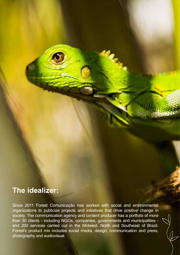# **The idealizer:**

Since 2011 Forest Comunicação has worked with social and environmental organizations to publicize projects and initiatives that drive positive change in society. The communication agency and content producer has a portfolio of more than 30 clients - including NGOs, companies, governments and municipalities and 200 services carried out in the Midwest, North and Southeast of Brazil. Forest's product mix includes social media, design, communication and press, photography and audiovisual.